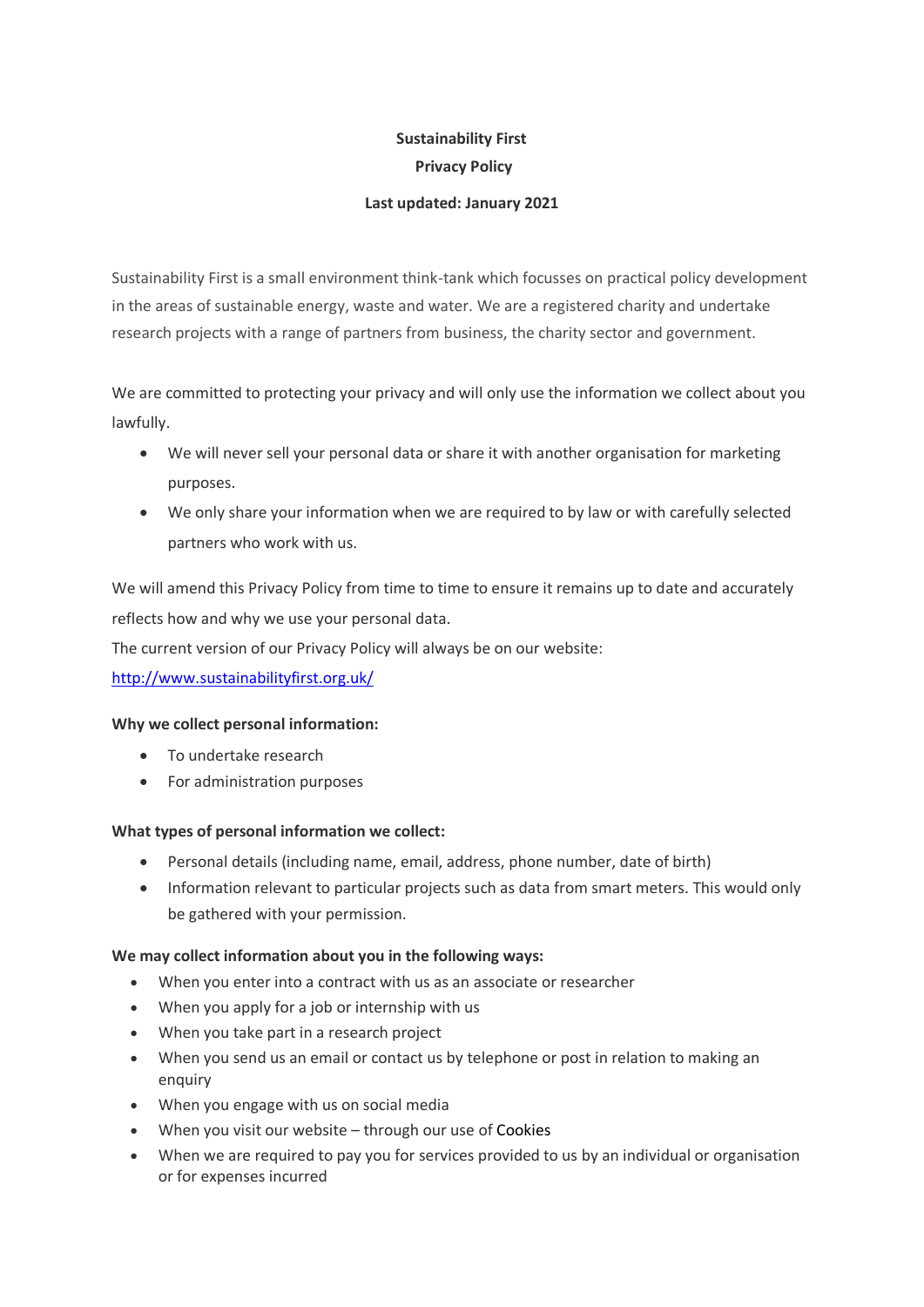# **Sustainability First Privacy Policy**

# **Last updated: January 2021**

Sustainability First is a small environment think-tank which focusses on practical policy development in the areas of sustainable energy, waste and water. We are a registered charity and undertake research projects with a range of partners from business, the charity sector and government.

We are committed to protecting your privacy and will only use the information we collect about you lawfully.

- We will never sell your personal data or share it with another organisation for marketing purposes.
- We only share your information when we are required to by law or with carefully selected partners who work with us.

We will amend this Privacy Policy from time to time to ensure it remains up to date and accurately reflects how and why we use your personal data.

The current version of our Privacy Policy will always be on our website:

<http://www.sustainabilityfirst.org.uk/>

### **Why we collect personal information:**

- To undertake research
- For administration purposes

### **What types of personal information we collect:**

- Personal details (including name, email, address, phone number, date of birth)
- Information relevant to particular projects such as data from smart meters. This would only be gathered with your permission.

### **We may collect information about you in the following ways:**

- When you enter into a contract with us as an associate or researcher
- When you apply for a job or internship with us
- When you take part in a research project
- When you send us an email or contact us by telephone or post in relation to making an enquiry
- When you engage with us on social media
- When you visit our website through our use of Cookies
- When we are required to pay you for services provided to us by an individual or organisation or for expenses incurred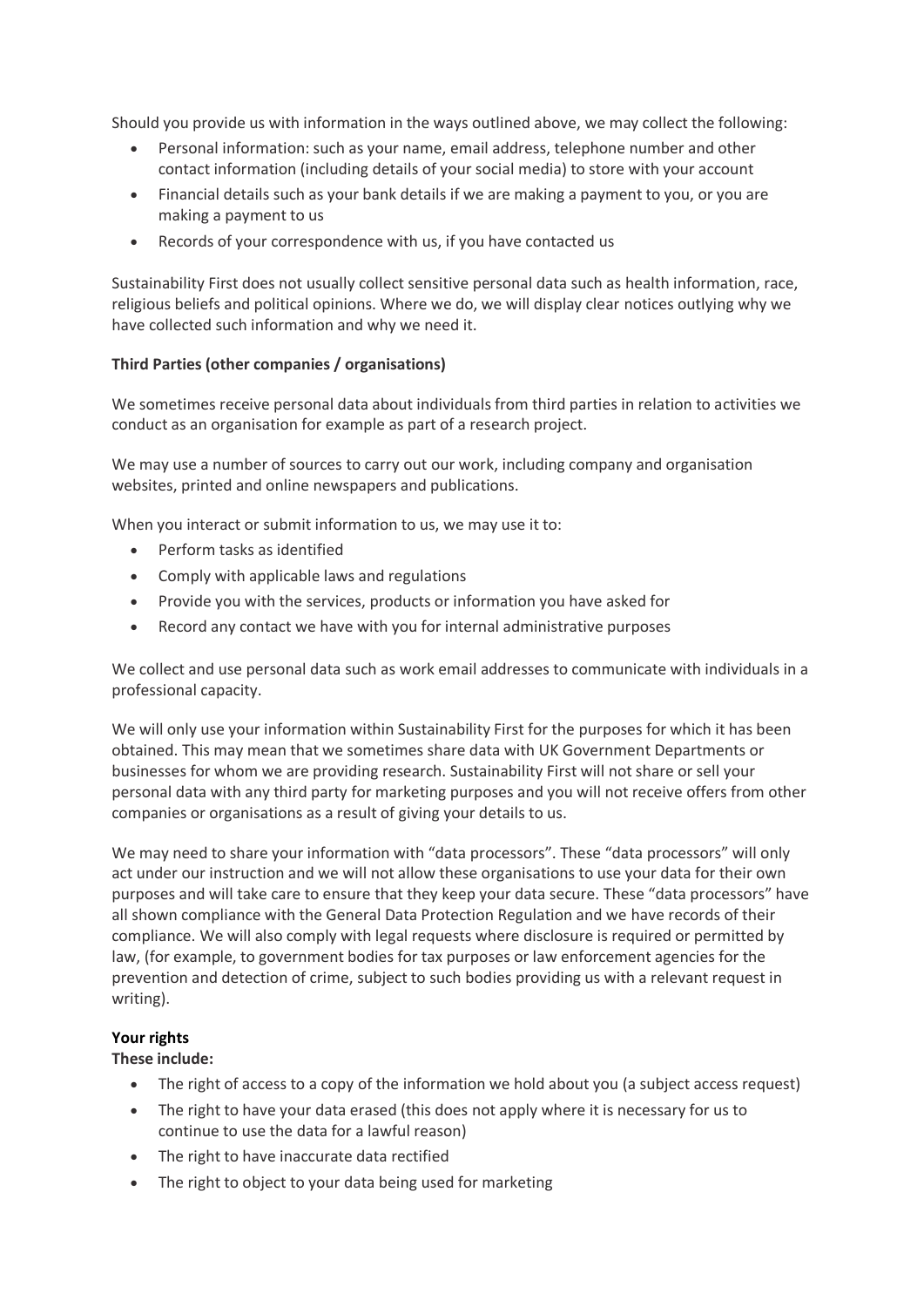Should you provide us with information in the ways outlined above, we may collect the following:

- Personal information: such as your name, email address, telephone number and other contact information (including details of your social media) to store with your account
- Financial details such as your bank details if we are making a payment to you, or you are making a payment to us
- Records of your correspondence with us, if you have contacted us

Sustainability First does not usually collect sensitive personal data such as health information, race, religious beliefs and political opinions. Where we do, we will display clear notices outlying why we have collected such information and why we need it.

# **Third Parties (other companies / organisations)**

We sometimes receive personal data about individuals from third parties in relation to activities we conduct as an organisation for example as part of a research project.

We may use a number of sources to carry out our work, including company and organisation websites, printed and online newspapers and publications.

When you interact or submit information to us, we may use it to:

- Perform tasks as identified
- Comply with applicable laws and regulations
- Provide you with the services, products or information you have asked for
- Record any contact we have with you for internal administrative purposes

We collect and use personal data such as work email addresses to communicate with individuals in a professional capacity.

We will only use your information within Sustainability First for the purposes for which it has been obtained. This may mean that we sometimes share data with UK Government Departments or businesses for whom we are providing research. Sustainability First will not share or sell your personal data with any third party for marketing purposes and you will not receive offers from other companies or organisations as a result of giving your details to us.

We may need to share your information with "data processors". These "data processors" will only act under our instruction and we will not allow these organisations to use your data for their own purposes and will take care to ensure that they keep your data secure. These "data processors" have all shown compliance with the General Data Protection Regulation and we have records of their compliance. We will also comply with legal requests where disclosure is required or permitted by law, (for example, to government bodies for tax purposes or law enforcement agencies for the prevention and detection of crime, subject to such bodies providing us with a relevant request in writing).

### **Your rights**

### **These include:**

- The right of access to a copy of the information we hold about you (a subject access request)
- The right to have your data erased (this does not apply where it is necessary for us to continue to use the data for a lawful reason)
- The right to have inaccurate data rectified
- The right to object to your data being used for marketing